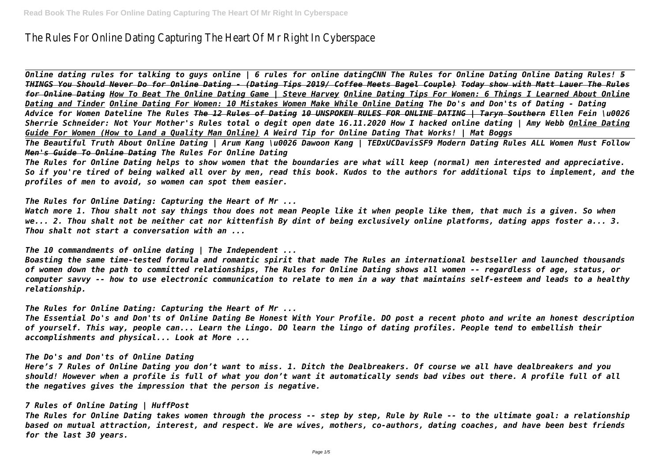# The Rules For Online Dating Capturing The Heart Of Mr Right In Cyberspace

*Online dating rules for talking to guys online | 6 rules for online datingCNN The Rules for Online Dating Online Dating Rules! 5 THINGS You Should Never Do for Online Dating - (Dating Tips 2019/ Coffee Meets Bagel Couple) Today show with Matt Lauer The Rules for Online Dating How To Beat The Online Dating Game | Steve Harvey Online Dating Tips For Women: 6 Things I Learned About Online Dating and Tinder Online Dating For Women: 10 Mistakes Women Make While Online Dating The Do's and Don'ts of Dating - Dating Advice for Women Dateline The Rules The 12 Rules of Dating 10 UNSPOKEN RULES FOR ONLINE DATING | Taryn Southern Ellen Fein \u0026 Sherrie Schneider: Not Your Mother's Rules total o degit open date 16.11.2020 How I hacked online dating | Amy Webb Online Dating Guide For Women (How to Land a Quality Man Online) A Weird Tip for Online Dating That Works! | Mat Boggs The Beautiful Truth About Online Dating | Arum Kang \u0026 Dawoon Kang | TEDxUCDavisSF9 Modern Dating Rules ALL Women Must Follow Men's Guide To Online Dating The Rules For Online Dating*

*The Rules for Online Dating helps to show women that the boundaries are what will keep (normal) men interested and appreciative. So if you're tired of being walked all over by men, read this book. Kudos to the authors for additional tips to implement, and the profiles of men to avoid, so women can spot them easier.*

*The Rules for Online Dating: Capturing the Heart of Mr ...*

*Watch more 1. Thou shalt not say things thou does not mean People like it when people like them, that much is a given. So when we... 2. Thou shalt not be neither cat nor kittenfish By dint of being exclusively online platforms, dating apps foster a... 3. Thou shalt not start a conversation with an ...*

*The 10 commandments of online dating | The Independent ...*

*Boasting the same time-tested formula and romantic spirit that made The Rules an international bestseller and launched thousands of women down the path to committed relationships, The Rules for Online Dating shows all women -- regardless of age, status, or computer savvy -- how to use electronic communication to relate to men in a way that maintains self-esteem and leads to a healthy relationship.*

*The Rules for Online Dating: Capturing the Heart of Mr ...*

*The Essential Do's and Don'ts of Online Dating Be Honest With Your Profile. DO post a recent photo and write an honest description of yourself. This way, people can... Learn the Lingo. DO learn the lingo of dating profiles. People tend to embellish their accomplishments and physical... Look at More ...*

*The Do's and Don'ts of Online Dating*

*Here's 7 Rules of Online Dating you don't want to miss. 1. Ditch the Dealbreakers. Of course we all have dealbreakers and you should! However when a profile is full of what you don't want it automatically sends bad vibes out there. A profile full of all the negatives gives the impression that the person is negative.*

## *7 Rules of Online Dating | HuffPost*

*The Rules for Online Dating takes women through the process -- step by step, Rule by Rule -- to the ultimate goal: a relationship based on mutual attraction, interest, and respect. We are wives, mothers, co-authors, dating coaches, and have been best friends for the last 30 years.*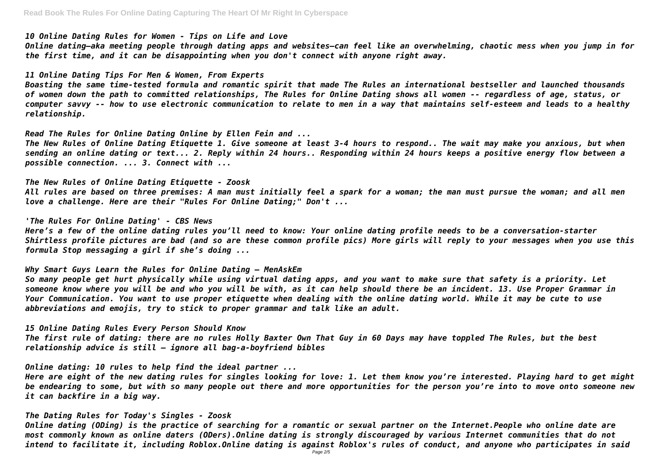*10 Online Dating Rules for Women - Tips on Life and Love*

*Online dating—aka meeting people through dating apps and websites—can feel like an overwhelming, chaotic mess when you jump in for the first time, and it can be disappointing when you don't connect with anyone right away.*

*11 Online Dating Tips For Men & Women, From Experts*

*Boasting the same time-tested formula and romantic spirit that made The Rules an international bestseller and launched thousands of women down the path to committed relationships, The Rules for Online Dating shows all women -- regardless of age, status, or computer savvy -- how to use electronic communication to relate to men in a way that maintains self-esteem and leads to a healthy relationship.*

*Read The Rules for Online Dating Online by Ellen Fein and ...*

*The New Rules of Online Dating Etiquette 1. Give someone at least 3-4 hours to respond.. The wait may make you anxious, but when sending an online dating or text... 2. Reply within 24 hours.. Responding within 24 hours keeps a positive energy flow between a possible connection. ... 3. Connect with ...*

*The New Rules of Online Dating Etiquette - Zoosk All rules are based on three premises: A man must initially feel a spark for a woman; the man must pursue the woman; and all men love a challenge. Here are their "Rules For Online Dating;" Don't ...*

*'The Rules For Online Dating' - CBS News Here's a few of the online dating rules you'll need to know: Your online dating profile needs to be a conversation-starter Shirtless profile pictures are bad (and so are these common profile pics) More girls will reply to your messages when you use this formula Stop messaging a girl if she's doing ...*

*Why Smart Guys Learn the Rules for Online Dating — MenAskEm So many people get hurt physically while using virtual dating apps, and you want to make sure that safety is a priority. Let someone know where you will be and who you will be with, as it can help should there be an incident. 13. Use Proper Grammar in Your Communication. You want to use proper etiquette when dealing with the online dating world. While it may be cute to use abbreviations and emojis, try to stick to proper grammar and talk like an adult.*

*15 Online Dating Rules Every Person Should Know The first rule of dating: there are no rules Holly Baxter Own That Guy in 60 Days may have toppled The Rules, but the best relationship advice is still – ignore all bag-a-boyfriend bibles*

*Online dating: 10 rules to help find the ideal partner ...*

*Here are eight of the new dating rules for singles looking for love: 1. Let them know you're interested. Playing hard to get might be endearing to some, but with so many people out there and more opportunities for the person you're into to move onto someone new it can backfire in a big way.*

*The Dating Rules for Today's Singles - Zoosk*

*Online dating (ODing) is the practice of searching for a romantic or sexual partner on the Internet.People who online date are most commonly known as online daters (ODers).Online dating is strongly discouraged by various Internet communities that do not intend to facilitate it, including Roblox.Online dating is against Roblox's rules of conduct, and anyone who participates in said*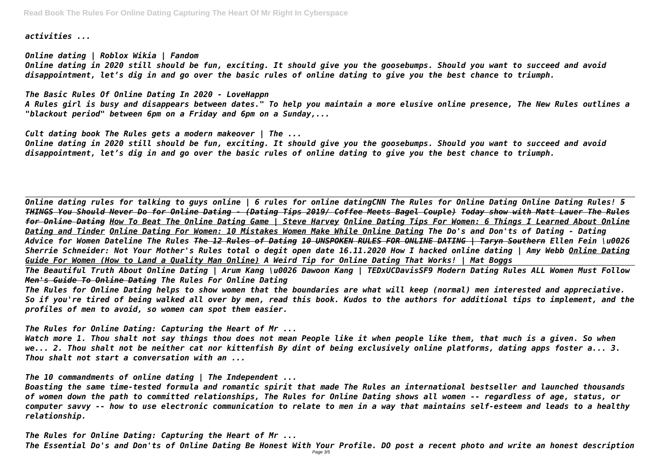*activities ...*

*Online dating | Roblox Wikia | Fandom Online dating in 2020 still should be fun, exciting. It should give you the goosebumps. Should you want to succeed and avoid disappointment, let's dig in and go over the basic rules of online dating to give you the best chance to triumph.*

*The Basic Rules Of Online Dating In 2020 - LoveHappn A Rules girl is busy and disappears between dates." To help you maintain a more elusive online presence, The New Rules outlines a "blackout period" between 6pm on a Friday and 6pm on a Sunday,...*

*Cult dating book The Rules gets a modern makeover | The ...*

*Online dating in 2020 still should be fun, exciting. It should give you the goosebumps. Should you want to succeed and avoid disappointment, let's dig in and go over the basic rules of online dating to give you the best chance to triumph.*

*Online dating rules for talking to guys online | 6 rules for online datingCNN The Rules for Online Dating Online Dating Rules! 5 THINGS You Should Never Do for Online Dating - (Dating Tips 2019/ Coffee Meets Bagel Couple) Today show with Matt Lauer The Rules for Online Dating How To Beat The Online Dating Game | Steve Harvey Online Dating Tips For Women: 6 Things I Learned About Online Dating and Tinder Online Dating For Women: 10 Mistakes Women Make While Online Dating The Do's and Don'ts of Dating - Dating Advice for Women Dateline The Rules The 12 Rules of Dating 10 UNSPOKEN RULES FOR ONLINE DATING | Taryn Southern Ellen Fein \u0026 Sherrie Schneider: Not Your Mother's Rules total o degit open date 16.11.2020 How I hacked online dating | Amy Webb Online Dating Guide For Women (How to Land a Quality Man Online) A Weird Tip for Online Dating That Works! | Mat Boggs The Beautiful Truth About Online Dating | Arum Kang \u0026 Dawoon Kang | TEDxUCDavisSF9 Modern Dating Rules ALL Women Must Follow Men's Guide To Online Dating The Rules For Online Dating The Rules for Online Dating helps to show women that the boundaries are what will keep (normal) men interested and appreciative. So if you're tired of being walked all over by men, read this book. Kudos to the authors for additional tips to implement, and the profiles of men to avoid, so women can spot them easier.*

*The Rules for Online Dating: Capturing the Heart of Mr ...*

*Watch more 1. Thou shalt not say things thou does not mean People like it when people like them, that much is a given. So when we... 2. Thou shalt not be neither cat nor kittenfish By dint of being exclusively online platforms, dating apps foster a... 3. Thou shalt not start a conversation with an ...*

*The 10 commandments of online dating | The Independent ...*

*Boasting the same time-tested formula and romantic spirit that made The Rules an international bestseller and launched thousands of women down the path to committed relationships, The Rules for Online Dating shows all women -- regardless of age, status, or computer savvy -- how to use electronic communication to relate to men in a way that maintains self-esteem and leads to a healthy relationship.*

*The Rules for Online Dating: Capturing the Heart of Mr ... The Essential Do's and Don'ts of Online Dating Be Honest With Your Profile. DO post a recent photo and write an honest description* Page 3/5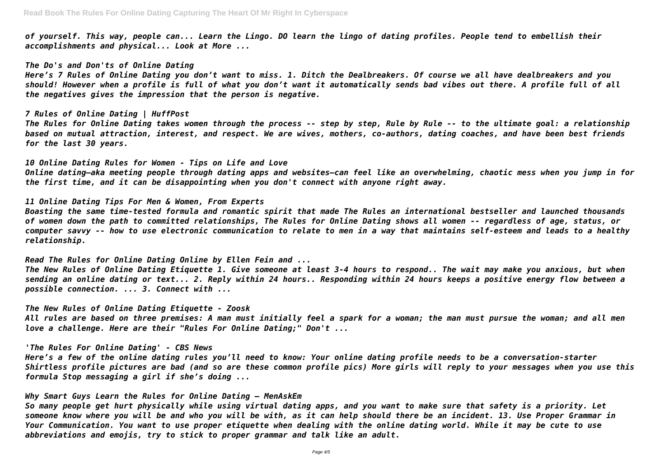*of yourself. This way, people can... Learn the Lingo. DO learn the lingo of dating profiles. People tend to embellish their accomplishments and physical... Look at More ...*

*The Do's and Don'ts of Online Dating*

*Here's 7 Rules of Online Dating you don't want to miss. 1. Ditch the Dealbreakers. Of course we all have dealbreakers and you should! However when a profile is full of what you don't want it automatically sends bad vibes out there. A profile full of all the negatives gives the impression that the person is negative.*

## *7 Rules of Online Dating | HuffPost*

*The Rules for Online Dating takes women through the process -- step by step, Rule by Rule -- to the ultimate goal: a relationship based on mutual attraction, interest, and respect. We are wives, mothers, co-authors, dating coaches, and have been best friends for the last 30 years.*

*10 Online Dating Rules for Women - Tips on Life and Love Online dating—aka meeting people through dating apps and websites—can feel like an overwhelming, chaotic mess when you jump in for the first time, and it can be disappointing when you don't connect with anyone right away.*

## *11 Online Dating Tips For Men & Women, From Experts*

*Boasting the same time-tested formula and romantic spirit that made The Rules an international bestseller and launched thousands of women down the path to committed relationships, The Rules for Online Dating shows all women -- regardless of age, status, or computer savvy -- how to use electronic communication to relate to men in a way that maintains self-esteem and leads to a healthy relationship.*

*Read The Rules for Online Dating Online by Ellen Fein and ... The New Rules of Online Dating Etiquette 1. Give someone at least 3-4 hours to respond.. The wait may make you anxious, but when sending an online dating or text... 2. Reply within 24 hours.. Responding within 24 hours keeps a positive energy flow between a possible connection. ... 3. Connect with ...*

*The New Rules of Online Dating Etiquette - Zoosk All rules are based on three premises: A man must initially feel a spark for a woman; the man must pursue the woman; and all men love a challenge. Here are their "Rules For Online Dating;" Don't ...*

*'The Rules For Online Dating' - CBS News*

*Here's a few of the online dating rules you'll need to know: Your online dating profile needs to be a conversation-starter Shirtless profile pictures are bad (and so are these common profile pics) More girls will reply to your messages when you use this formula Stop messaging a girl if she's doing ...*

# *Why Smart Guys Learn the Rules for Online Dating — MenAskEm*

*So many people get hurt physically while using virtual dating apps, and you want to make sure that safety is a priority. Let someone know where you will be and who you will be with, as it can help should there be an incident. 13. Use Proper Grammar in Your Communication. You want to use proper etiquette when dealing with the online dating world. While it may be cute to use abbreviations and emojis, try to stick to proper grammar and talk like an adult.*